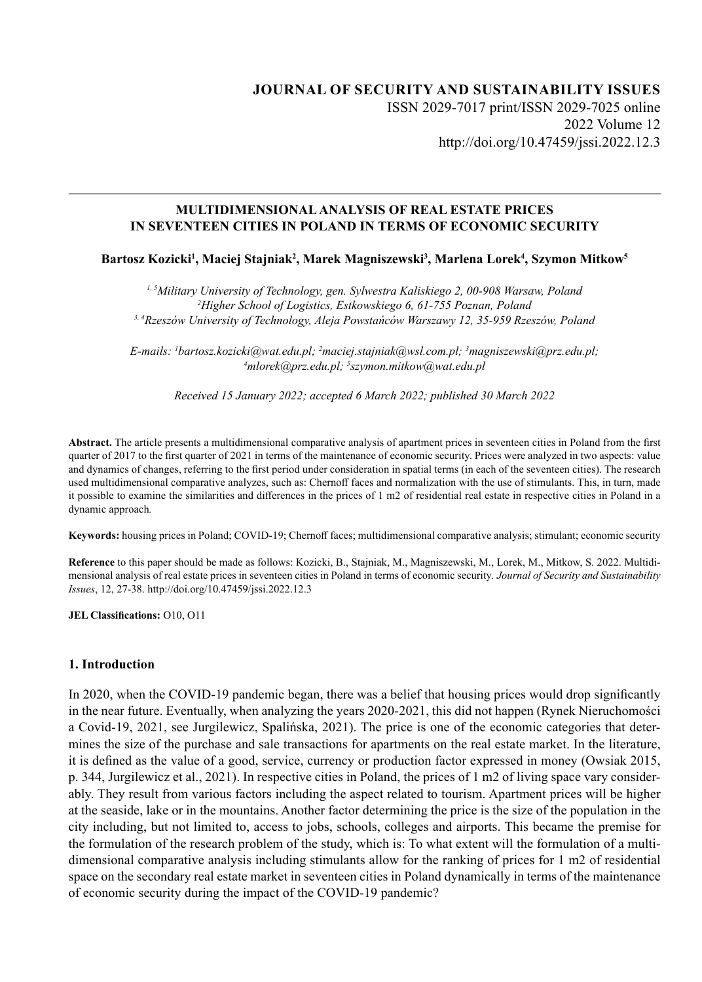# **JOURNAL OF SECURITY AND SUSTAINABILITY ISSUES** ISSN 2029-7017 print/ISSN 2029-7025 online 2022 Volume 12 http://doi.org/10.47459/jssi.2022.12.3

### **MULTIDIMENSIONAL ANALYSIS OF REAL ESTATE PRICES IN SEVENTEEN CITIES IN POLAND IN TERMS OF ECONOMIC SECURITY**

### Bartosz Kozicki<sup>ı</sup>, Maciej Stajniak<sup>2</sup>, Marek Magniszewski<sup>3</sup>, Marlena Lorek<sup>4</sup>, Szymon Mitkow<sup>s</sup>

*1, 5Military University of Technology, gen. Sylwestra Kaliskiego 2, 00-908 Warsaw, Poland 2 Higher School of Logistics, Estkowskiego 6, 61-755 Poznan, Poland 3, 4Rzeszów University of Technology, Aleja Powstańców Warszawy 12, 35-959 Rzeszów, Poland*

*E-mails: 1 bartosz.kozicki@wat.edu.pl; 2 maciej.stajniak@wsl.com.pl; 3 magniszewski@prz.edu.pl; 4 mlorek@prz.edu.pl; 5 szymon.mitkow@wat.edu.pl*

*Received 15 January 2022; accepted 6 March 2022; published 30 March 2022*

**Abstract.** The article presents a multidimensional comparative analysis of apartment prices in seventeen cities in Poland from the first quarter of 2017 to the first quarter of 2021 in terms of the maintenance of economic security. Prices were analyzed in two aspects: value and dynamics of changes, referring to the first period under consideration in spatial terms (in each of the seventeen cities). The research used multidimensional comparative analyzes, such as: Chernoff faces and normalization with the use of stimulants. This, in turn, made it possible to examine the similarities and differences in the prices of 1 m2 of residential real estate in respective cities in Poland in a dynamic approach*.*

**Keywords:** housing prices in Poland; COVID-19; Chernoff faces; multidimensional comparative analysis; stimulant; economic security

**Reference** to this paper should be made as follows: Kozicki, B., Stajniak, M., Magniszewski, M., Lorek, M., Mitkow, S. 2022. Multidimensional analysis of real estate prices in seventeen cities in Poland in terms of economic security*. Journal of Security and Sustainability Issues*, 12, 27-38. http://doi.org/10.47459/jssi.2022.12.3

**JEL Classifications:** O10, O11

#### **1. Introduction**

In 2020, when the COVID-19 pandemic began, there was a belief that housing prices would drop significantly in the near future. Eventually, when analyzing the years 2020-2021, this did not happen (Rynek Nieruchomości a Covid-19, 2021, see Jurgilewicz, Spalińska, 2021). The price is one of the economic categories that determines the size of the purchase and sale transactions for apartments on the real estate market. In the literature, it is defined as the value of a good, service, currency or production factor expressed in money (Owsiak 2015, p. 344, Jurgilewicz et al., 2021). In respective cities in Poland, the prices of 1 m2 of living space vary considerably. They result from various factors including the aspect related to tourism. Apartment prices will be higher at the seaside, lake or in the mountains. Another factor determining the price is the size of the population in the city including, but not limited to, access to jobs, schools, colleges and airports. This became the premise for the formulation of the research problem of the study, which is: To what extent will the formulation of a multidimensional comparative analysis including stimulants allow for the ranking of prices for 1 m2 of residential space on the secondary real estate market in seventeen cities in Poland dynamically in terms of the maintenance of economic security during the impact of the COVID-19 pandemic?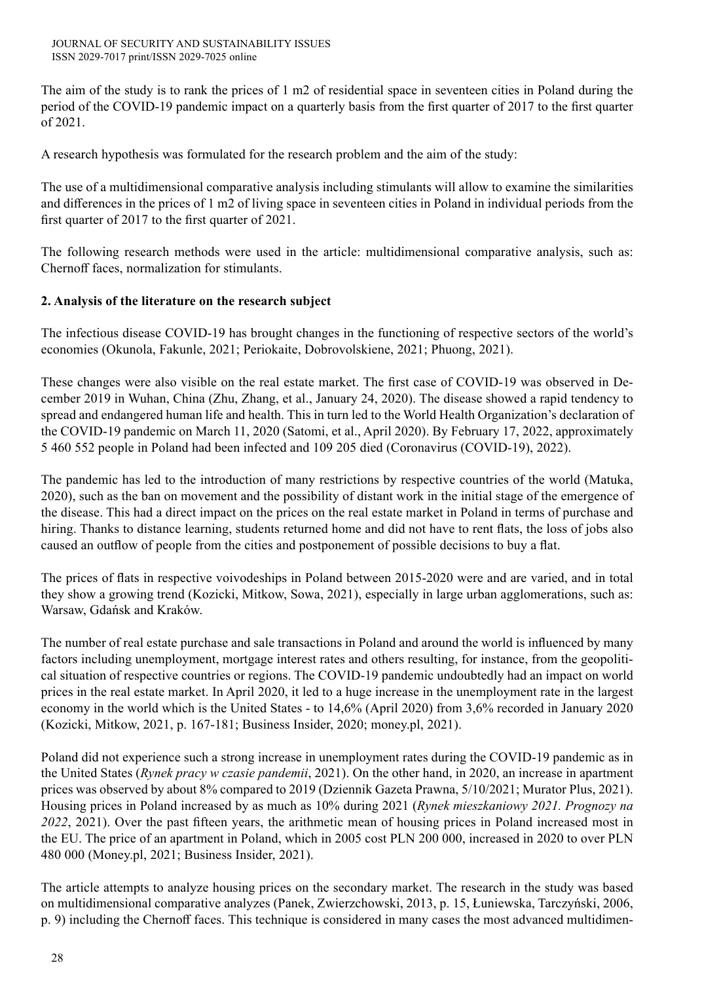The aim of the study is to rank the prices of 1 m2 of residential space in seventeen cities in Poland during the period of the COVID-19 pandemic impact on a quarterly basis from the first quarter of 2017 to the first quarter of 2021.

A research hypothesis was formulated for the research problem and the aim of the study:

The use of a multidimensional comparative analysis including stimulants will allow to examine the similarities and differences in the prices of 1 m2 of living space in seventeen cities in Poland in individual periods from the first quarter of 2017 to the first quarter of 2021.

The following research methods were used in the article: multidimensional comparative analysis, such as: Chernoff faces, normalization for stimulants.

# **2. Analysis of the literature on the research subject**

The infectious disease COVID-19 has brought changes in the functioning of respective sectors of the world's economies (Okunola, Fakunle, 2021; Periokaite, Dobrovolskiene, 2021; Phuong, 2021).

These changes were also visible on the real estate market. The first case of COVID-19 was observed in December 2019 in Wuhan, China (Zhu, Zhang, et al., January 24, 2020). The disease showed a rapid tendency to spread and endangered human life and health. This in turn led to the World Health Organization's declaration of the COVID-19 pandemic on March 11, 2020 (Satomi, et al., April 2020). By February 17, 2022, approximately 5 460 552 people in Poland had been infected and 109 205 died (Coronavirus (COVID-19), 2022).

The pandemic has led to the introduction of many restrictions by respective countries of the world (Matuka, 2020), such as the ban on movement and the possibility of distant work in the initial stage of the emergence of the disease. This had a direct impact on the prices on the real estate market in Poland in terms of purchase and hiring. Thanks to distance learning, students returned home and did not have to rent flats, the loss of jobs also caused an outflow of people from the cities and postponement of possible decisions to buy a flat.

The prices of flats in respective voivodeships in Poland between 2015-2020 were and are varied, and in total they show a growing trend (Kozicki, Mitkow, Sowa, 2021), especially in large urban agglomerations, such as: Warsaw, Gdańsk and Kraków.

The number of real estate purchase and sale transactions in Poland and around the world is influenced by many factors including unemployment, mortgage interest rates and others resulting, for instance, from the geopolitical situation of respective countries or regions. The COVID-19 pandemic undoubtedly had an impact on world prices in the real estate market. In April 2020, it led to a huge increase in the unemployment rate in the largest economy in the world which is the United States - to 14,6% (April 2020) from 3,6% recorded in January 2020 (Kozicki, Mitkow, 2021, p. 167-181; Business Insider, 2020; money.pl, 2021).

Poland did not experience such a strong increase in unemployment rates during the COVID-19 pandemic as in the United States (*Rynek pracy w czasie pandemii*, 2021). On the other hand, in 2020, an increase in apartment prices was observed by about 8% compared to 2019 (Dziennik Gazeta Prawna, 5/10/2021; Murator Plus, 2021). Housing prices in Poland increased by as much as 10% during 2021 (*Rynek mieszkaniowy 2021. Prognozy na 2022*, 2021). Over the past fifteen years, the arithmetic mean of housing prices in Poland increased most in the EU. The price of an apartment in Poland, which in 2005 cost PLN 200 000, increased in 2020 to over PLN 480 000 (Money.pl, 2021; Business Insider, 2021).

The article attempts to analyze housing prices on the secondary market. The research in the study was based on multidimensional comparative analyzes (Panek, Zwierzchowski, 2013, p. 15, Łuniewska, Tarczyński, 2006, p. 9) including the Chernoff faces. This technique is considered in many cases the most advanced multidimen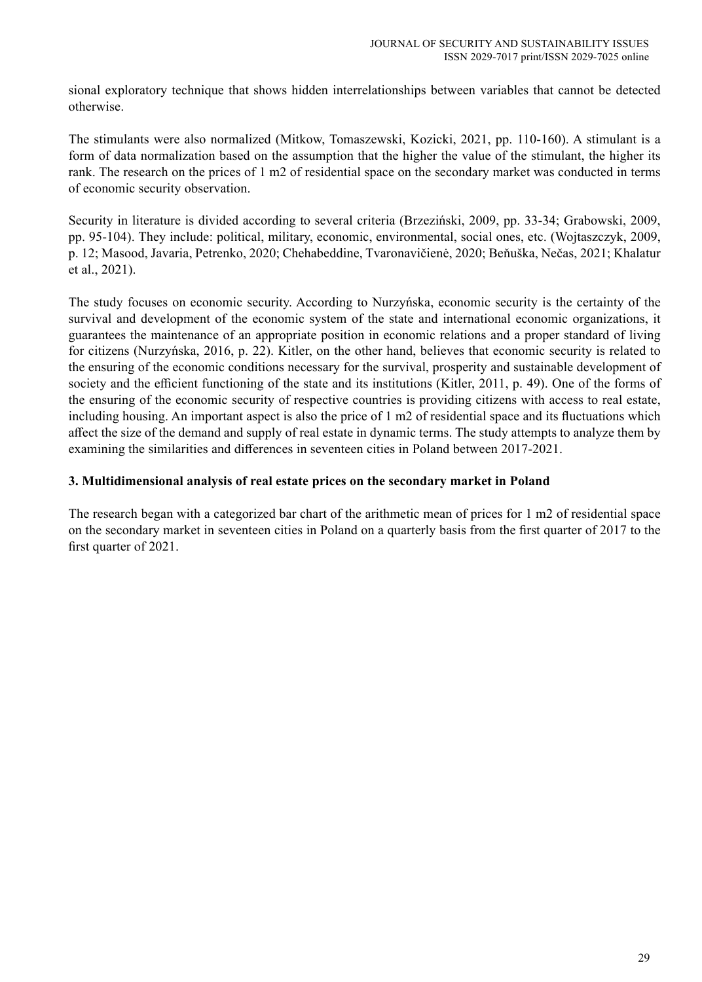sional exploratory technique that shows hidden interrelationships between variables that cannot be detected otherwise.

The stimulants were also normalized (Mitkow, Tomaszewski, Kozicki, 2021, pp. 110-160). A stimulant is a form of data normalization based on the assumption that the higher the value of the stimulant, the higher its rank. The research on the prices of 1 m2 of residential space on the secondary market was conducted in terms of economic security observation.

Security in literature is divided according to several criteria (Brzeziński, 2009, pp. 33-34; Grabowski, 2009, pp. 95-104). They include: political, military, economic, environmental, social ones, etc. (Wojtaszczyk, 2009, p. 12; Masood, Javaria, Petrenko, 2020; Chehabeddine, Tvaronavičienė, 2020; Beňuška, Nečas, 2021; Khalatur et al., 2021).

The study focuses on economic security. According to Nurzyńska, economic security is the certainty of the survival and development of the economic system of the state and international economic organizations, it guarantees the maintenance of an appropriate position in economic relations and a proper standard of living for citizens (Nurzyńska, 2016, p. 22). Kitler, on the other hand, believes that economic security is related to the ensuring of the economic conditions necessary for the survival, prosperity and sustainable development of society and the efficient functioning of the state and its institutions (Kitler, 2011, p. 49). One of the forms of the ensuring of the economic security of respective countries is providing citizens with access to real estate, including housing. An important aspect is also the price of 1 m2 of residential space and its fluctuations which affect the size of the demand and supply of real estate in dynamic terms. The study attempts to analyze them by examining the similarities and differences in seventeen cities in Poland between 2017-2021.

## **3. Multidimensional analysis of real estate prices on the secondary market in Poland**

The research began with a categorized bar chart of the arithmetic mean of prices for 1 m2 of residential space on the secondary market in seventeen cities in Poland on a quarterly basis from the first quarter of 2017 to the first quarter of 2021.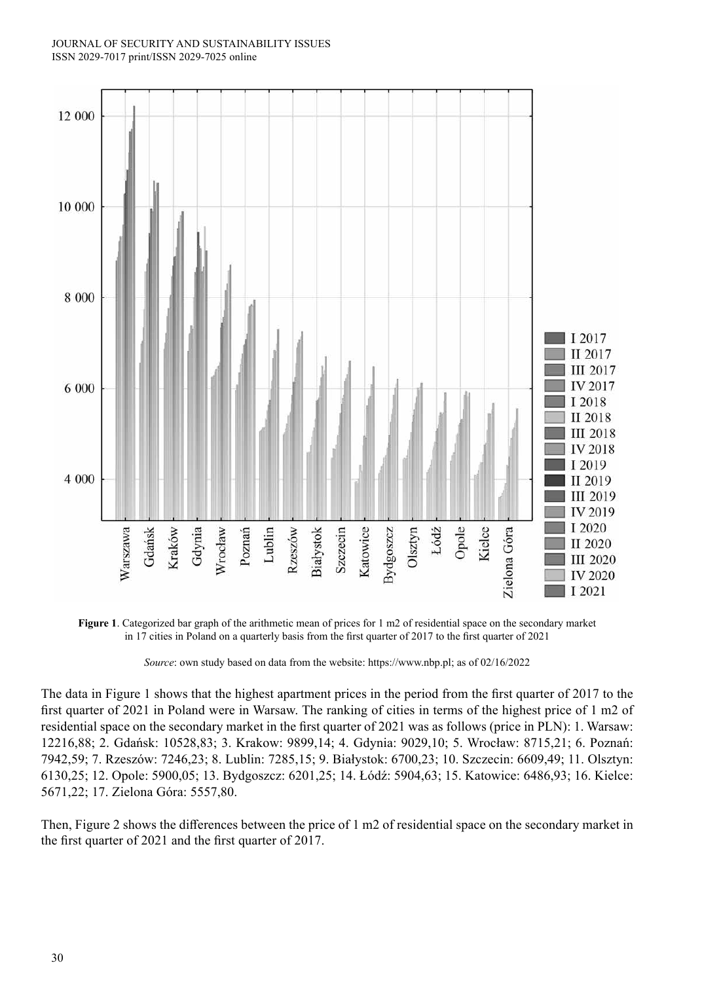#### JOURNAL OF SECURITY AND SUSTAINABILITY ISSUES ISSN 2029-7017 print/ISSN 2029-7025 online



**Figure 1**. Categorized bar graph of the arithmetic mean of prices for 1 m2 of residential space on the secondary market in 17 cities in Poland on a quarterly basis from the first quarter of 2017 to the first quarter of 2021

*Source*: own study based on data from the website: https://www.nbp.pl; as of 02/16/2022

The data in Figure 1 shows that the highest apartment prices in the period from the first quarter of 2017 to the first quarter of 2021 in Poland were in Warsaw. The ranking of cities in terms of the highest price of 1 m2 of residential space on the secondary market in the first quarter of 2021 was as follows (price in PLN): 1. Warsaw: 12216,88; 2. Gdańsk: 10528,83; 3. Krakow: 9899,14; 4. Gdynia: 9029,10; 5. Wrocław: 8715,21; 6. Poznań: 7942,59; 7. Rzeszów: 7246,23; 8. Lublin: 7285,15; 9. Białystok: 6700,23; 10. Szczecin: 6609,49; 11. Olsztyn: 6130,25; 12. Opole: 5900,05; 13. Bydgoszcz: 6201,25; 14. Łódź: 5904,63; 15. Katowice: 6486,93; 16. Kielce: 5671,22; 17. Zielona Góra: 5557,80.

Then, Figure 2 shows the differences between the price of 1 m2 of residential space on the secondary market in the first quarter of 2021 and the first quarter of 2017.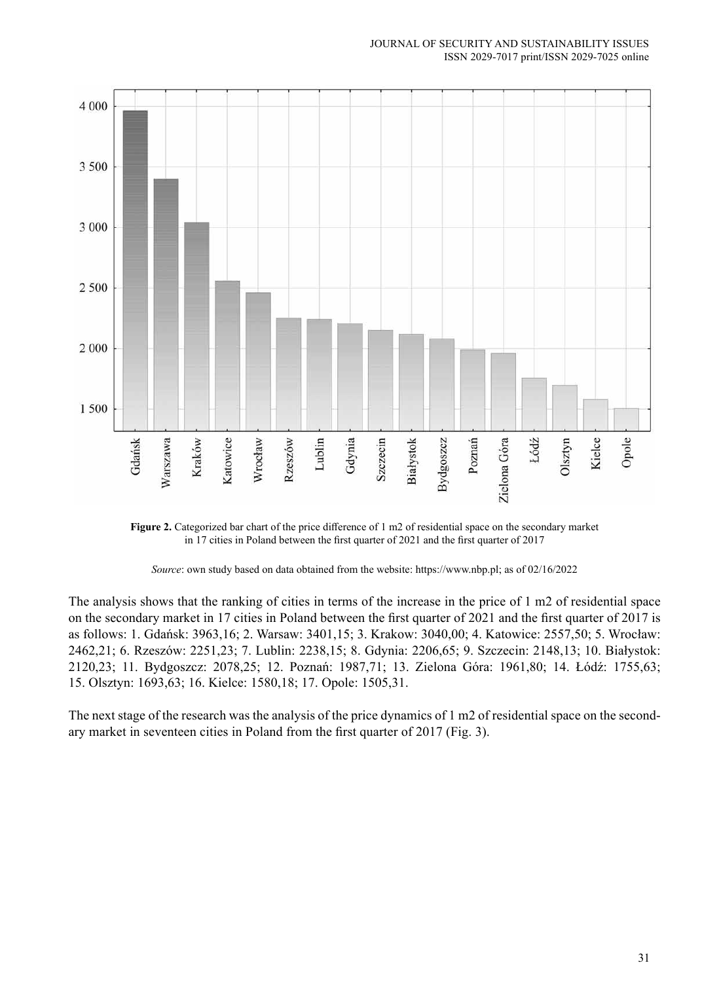

**Figure 2.** Categorized bar chart of the price difference of 1 m2 of residential space on the secondary market in 17 cities in Poland between the first quarter of 2021 and the first quarter of 2017

*Source*: own study based on data obtained from the website: https://www.nbp.pl; as of 02/16/2022

The analysis shows that the ranking of cities in terms of the increase in the price of 1 m2 of residential space on the secondary market in 17 cities in Poland between the first quarter of 2021 and the first quarter of 2017 is as follows: 1. Gdańsk: 3963,16; 2. Warsaw: 3401,15; 3. Krakow: 3040,00; 4. Katowice: 2557,50; 5. Wrocław: 2462,21; 6. Rzeszów: 2251,23; 7. Lublin: 2238,15; 8. Gdynia: 2206,65; 9. Szczecin: 2148,13; 10. Białystok: 2120,23; 11. Bydgoszcz: 2078,25; 12. Poznań: 1987,71; 13. Zielona Góra: 1961,80; 14. Łódź: 1755,63; 15. Olsztyn: 1693,63; 16. Kielce: 1580,18; 17. Opole: 1505,31.

The next stage of the research was the analysis of the price dynamics of 1 m2 of residential space on the secondary market in seventeen cities in Poland from the first quarter of 2017 (Fig. 3).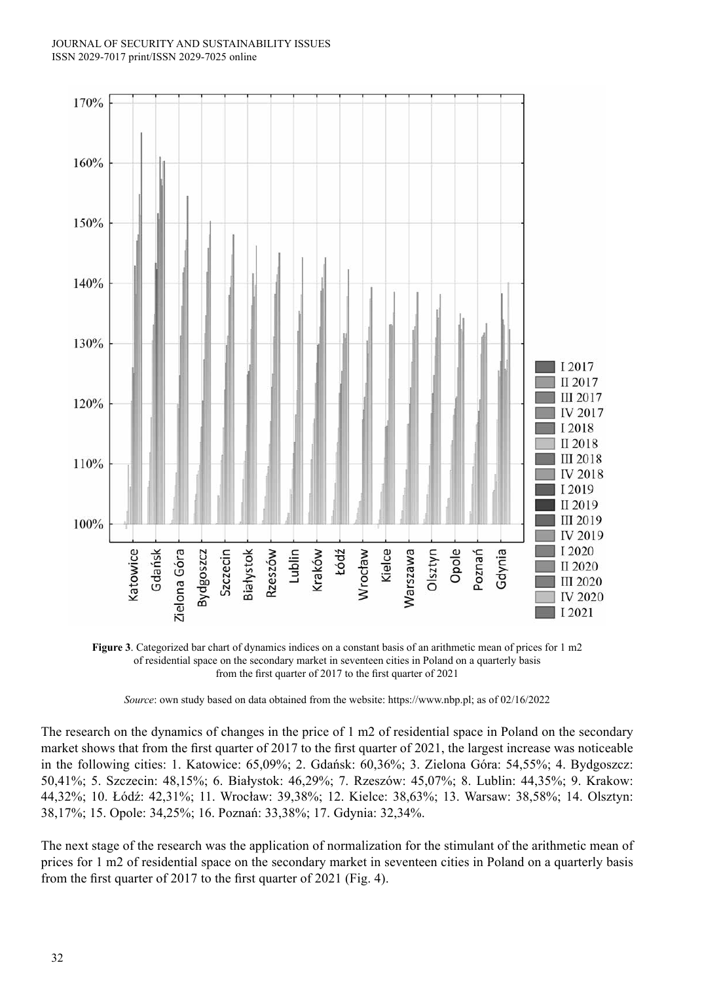#### JOURNAL OF SECURITY AND SUSTAINABILITY ISSUES ISSN 2029-7017 print/ISSN 2029-7025 online



**Figure 3**. Categorized bar chart of dynamics indices on a constant basis of an arithmetic mean of prices for 1 m2 of residential space on the secondary market in seventeen cities in Poland on a quarterly basis from the first quarter of 2017 to the first quarter of 2021

*Source*: own study based on data obtained from the website: https://www.nbp.pl; as of 02/16/2022

The research on the dynamics of changes in the price of 1 m2 of residential space in Poland on the secondary market shows that from the first quarter of 2017 to the first quarter of 2021, the largest increase was noticeable in the following cities: 1. Katowice: 65,09%; 2. Gdańsk: 60,36%; 3. Zielona Góra: 54,55%; 4. Bydgoszcz: 50,41%; 5. Szczecin: 48,15%; 6. Białystok: 46,29%; 7. Rzeszów: 45,07%; 8. Lublin: 44,35%; 9. Krakow: 44,32%; 10. Łódź: 42,31%; 11. Wrocław: 39,38%; 12. Kielce: 38,63%; 13. Warsaw: 38,58%; 14. Olsztyn: 38,17%; 15. Opole: 34,25%; 16. Poznań: 33,38%; 17. Gdynia: 32,34%.

The next stage of the research was the application of normalization for the stimulant of the arithmetic mean of prices for 1 m2 of residential space on the secondary market in seventeen cities in Poland on a quarterly basis from the first quarter of 2017 to the first quarter of 2021 (Fig. 4).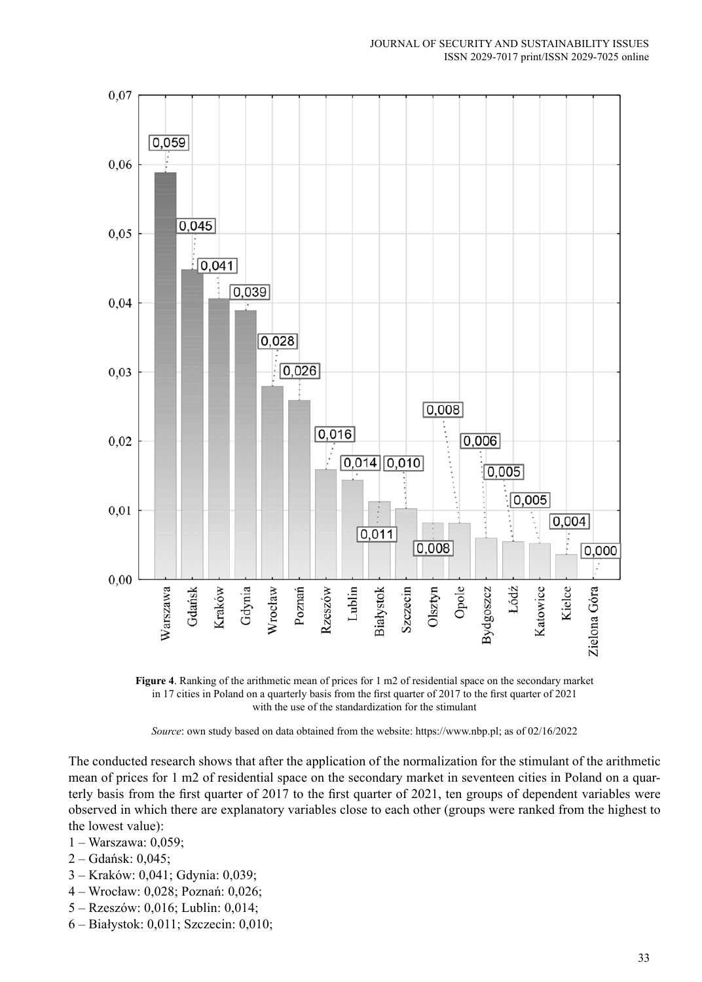

**Figure 4**. Ranking of the arithmetic mean of prices for 1 m2 of residential space on the secondary market in 17 cities in Poland on a quarterly basis from the first quarter of 2017 to the first quarter of 2021 with the use of the standardization for the stimulant

*Source*: own study based on data obtained from the website: https://www.nbp.pl; as of 02/16/2022

The conducted research shows that after the application of the normalization for the stimulant of the arithmetic mean of prices for 1 m2 of residential space on the secondary market in seventeen cities in Poland on a quarterly basis from the first quarter of 2017 to the first quarter of 2021, ten groups of dependent variables were observed in which there are explanatory variables close to each other (groups were ranked from the highest to the lowest value):

- 1 Warszawa: 0,059;
- 2 Gdańsk: 0,045;
- 3 Kraków: 0,041; Gdynia: 0,039;
- 4 Wrocław: 0,028; Poznań: 0,026;
- 5 Rzeszów: 0,016; Lublin: 0,014;
- 6 Białystok: 0,011; Szczecin: 0,010;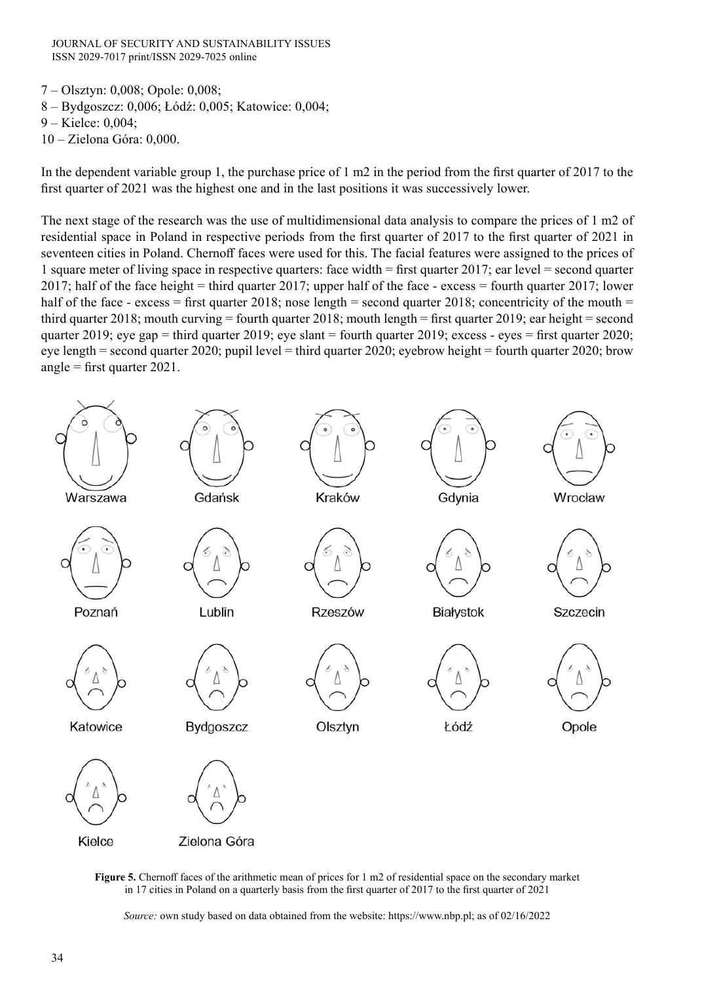JOURNAL OF SECURITY AND SUSTAINABILITY ISSUES ISSN 2029-7017 print/ISSN 2029-7025 online

- 7 Olsztyn: 0,008; Opole: 0,008;
- 8 Bydgoszcz: 0,006; Łódź: 0,005; Katowice: 0,004;
- 9 Kielce: 0,004;
- 10 Zielona Góra: 0,000.

In the dependent variable group 1, the purchase price of 1 m2 in the period from the first quarter of 2017 to the first quarter of 2021 was the highest one and in the last positions it was successively lower.

The next stage of the research was the use of multidimensional data analysis to compare the prices of 1 m2 of residential space in Poland in respective periods from the first quarter of 2017 to the first quarter of 2021 in seventeen cities in Poland. Chernoff faces were used for this. The facial features were assigned to the prices of 1 square meter of living space in respective quarters: face width = first quarter 2017; ear level = second quarter 2017; half of the face height = third quarter 2017; upper half of the face - excess = fourth quarter 2017; lower half of the face - excess = first quarter 2018; nose length = second quarter 2018; concentricity of the mouth = third quarter 2018; mouth curving = fourth quarter 2018; mouth length = first quarter 2019; ear height = second quarter 2019; eye gap = third quarter 2019; eye slant = fourth quarter 2019; excess - eyes = first quarter 2020; eye length = second quarter 2020; pupil level = third quarter 2020; eyebrow height = fourth quarter 2020; brow angle = first quarter 2021.





*Source:* own study based on data obtained from the website: https://www.nbp.pl; as of 02/16/2022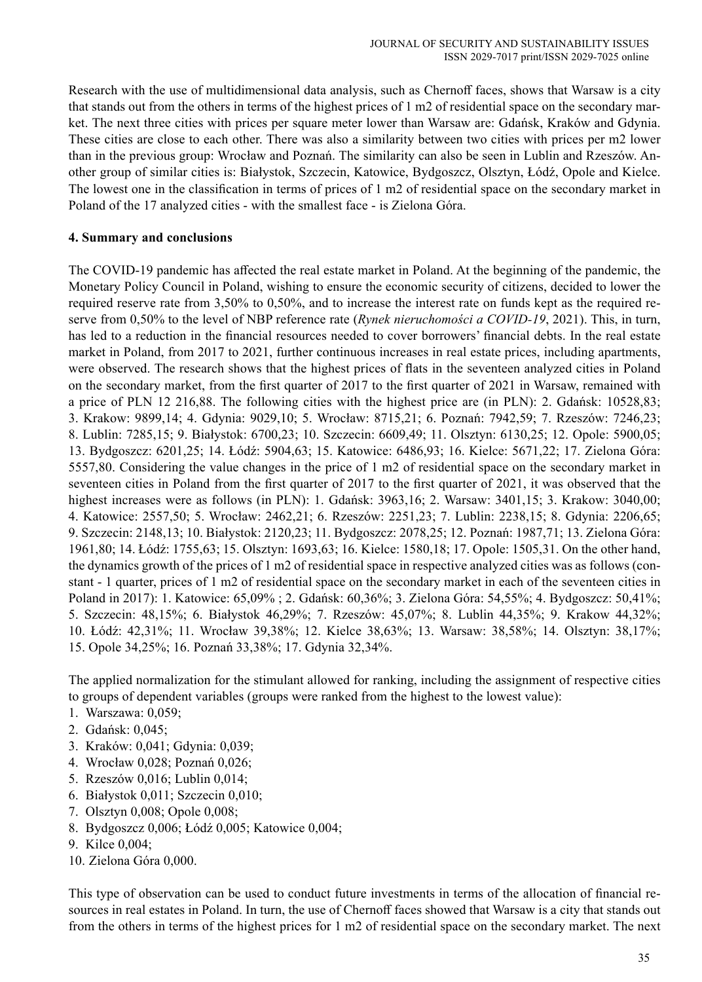Research with the use of multidimensional data analysis, such as Chernoff faces, shows that Warsaw is a city that stands out from the others in terms of the highest prices of 1 m2 of residential space on the secondary market. The next three cities with prices per square meter lower than Warsaw are: Gdańsk, Kraków and Gdynia. These cities are close to each other. There was also a similarity between two cities with prices per m2 lower than in the previous group: Wrocław and Poznań. The similarity can also be seen in Lublin and Rzeszów. Another group of similar cities is: Białystok, Szczecin, Katowice, Bydgoszcz, Olsztyn, Łódź, Opole and Kielce. The lowest one in the classification in terms of prices of 1 m2 of residential space on the secondary market in Poland of the 17 analyzed cities - with the smallest face - is Zielona Góra.

## **4. Summary and conclusions**

The COVID-19 pandemic has affected the real estate market in Poland. At the beginning of the pandemic, the Monetary Policy Council in Poland, wishing to ensure the economic security of citizens, decided to lower the required reserve rate from 3,50% to 0,50%, and to increase the interest rate on funds kept as the required reserve from 0,50% to the level of NBP reference rate (*Rynek nieruchomości a COVID-19*, 2021). This, in turn, has led to a reduction in the financial resources needed to cover borrowers' financial debts. In the real estate market in Poland, from 2017 to 2021, further continuous increases in real estate prices, including apartments, were observed. The research shows that the highest prices of flats in the seventeen analyzed cities in Poland on the secondary market, from the first quarter of 2017 to the first quarter of 2021 in Warsaw, remained with a price of PLN 12 216,88. The following cities with the highest price are (in PLN): 2. Gdańsk: 10528,83; 3. Krakow: 9899,14; 4. Gdynia: 9029,10; 5. Wrocław: 8715,21; 6. Poznań: 7942,59; 7. Rzeszów: 7246,23; 8. Lublin: 7285,15; 9. Białystok: 6700,23; 10. Szczecin: 6609,49; 11. Olsztyn: 6130,25; 12. Opole: 5900,05; 13. Bydgoszcz: 6201,25; 14. Łódź: 5904,63; 15. Katowice: 6486,93; 16. Kielce: 5671,22; 17. Zielona Góra: 5557,80. Considering the value changes in the price of 1 m2 of residential space on the secondary market in seventeen cities in Poland from the first quarter of 2017 to the first quarter of 2021, it was observed that the highest increases were as follows (in PLN): 1. Gdańsk: 3963,16; 2. Warsaw: 3401,15; 3. Krakow: 3040,00; 4. Katowice: 2557,50; 5. Wrocław: 2462,21; 6. Rzeszów: 2251,23; 7. Lublin: 2238,15; 8. Gdynia: 2206,65; 9. Szczecin: 2148,13; 10. Białystok: 2120,23; 11. Bydgoszcz: 2078,25; 12. Poznań: 1987,71; 13. Zielona Góra: 1961,80; 14. Łódź: 1755,63; 15. Olsztyn: 1693,63; 16. Kielce: 1580,18; 17. Opole: 1505,31. On the other hand, the dynamics growth of the prices of 1 m2 of residential space in respective analyzed cities was as follows (constant - 1 quarter, prices of 1 m2 of residential space on the secondary market in each of the seventeen cities in Poland in 2017): 1. Katowice: 65,09% ; 2. Gdańsk: 60,36%; 3. Zielona Góra: 54,55%; 4. Bydgoszcz: 50,41%; 5. Szczecin: 48,15%; 6. Białystok 46,29%; 7. Rzeszów: 45,07%; 8. Lublin 44,35%; 9. Krakow 44,32%; 10. Łódź: 42,31%; 11. Wrocław 39,38%; 12. Kielce 38,63%; 13. Warsaw: 38,58%; 14. Olsztyn: 38,17%; 15. Opole 34,25%; 16. Poznań 33,38%; 17. Gdynia 32,34%.

The applied normalization for the stimulant allowed for ranking, including the assignment of respective cities to groups of dependent variables (groups were ranked from the highest to the lowest value):

- 1. Warszawa: 0,059;
- 2. Gdańsk: 0,045;
- 3. Kraków: 0,041; Gdynia: 0,039;
- 4. Wrocław 0,028; Poznań 0,026;
- 5. Rzeszów 0,016; Lublin 0,014;
- 6. Białystok 0,011; Szczecin 0,010;
- 7. Olsztyn 0,008; Opole 0,008;
- 8. Bydgoszcz 0,006; Łódź 0,005; Katowice 0,004;
- 9. Kilce 0,004;
- 10. Zielona Góra 0,000.

This type of observation can be used to conduct future investments in terms of the allocation of financial resources in real estates in Poland. In turn, the use of Chernoff faces showed that Warsaw is a city that stands out from the others in terms of the highest prices for 1 m2 of residential space on the secondary market. The next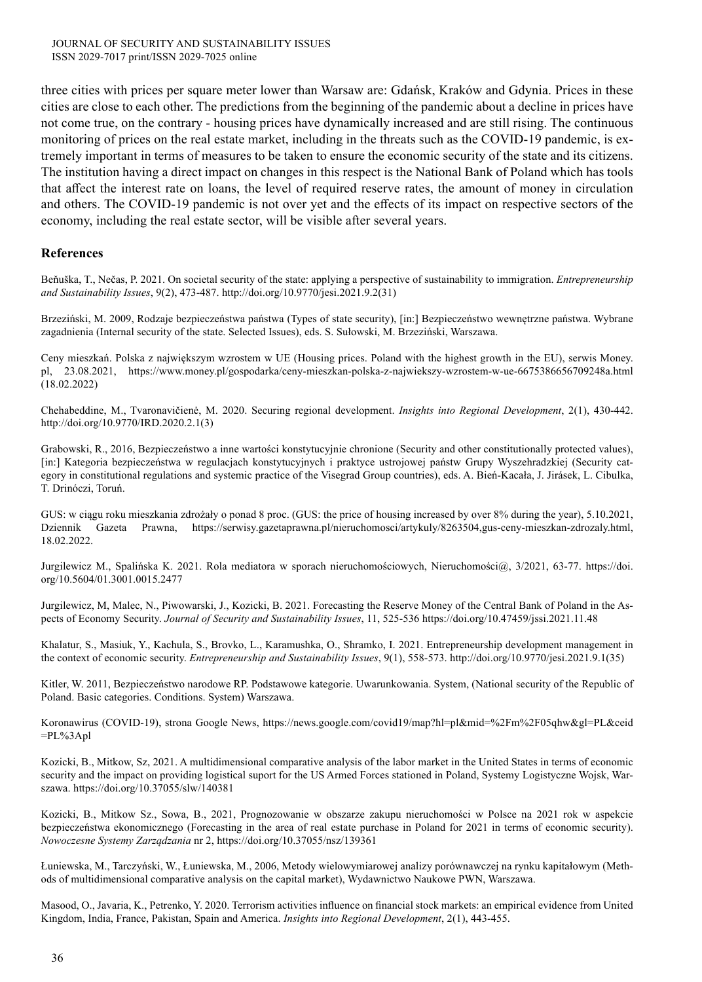three cities with prices per square meter lower than Warsaw are: Gdańsk, Kraków and Gdynia. Prices in these cities are close to each other. The predictions from the beginning of the pandemic about a decline in prices have not come true, on the contrary - housing prices have dynamically increased and are still rising. The continuous monitoring of prices on the real estate market, including in the threats such as the COVID-19 pandemic, is extremely important in terms of measures to be taken to ensure the economic security of the state and its citizens. The institution having a direct impact on changes in this respect is the National Bank of Poland which has tools that affect the interest rate on loans, the level of required reserve rates, the amount of money in circulation and others. The COVID-19 pandemic is not over yet and the effects of its impact on respective sectors of the economy, including the real estate sector, will be visible after several years.

### **References**

Beňuška, T., Nečas, P. 2021. On societal security of the state: applying a perspective of sustainability to immigration. *Entrepreneurship and Sustainability Issues*, 9(2), 473-487. http://doi.org/10.9770/jesi.2021.9.2(31)

Brzeziński, M. 2009, Rodzaje bezpieczeństwa państwa (Types of state security), [in:] Bezpieczeństwo wewnętrzne państwa. Wybrane zagadnienia (Internal security of the state. Selected Issues), eds. S. Sułowski, M. Brzeziński, Warszawa.

Ceny mieszkań. Polska z największym wzrostem w UE (Housing prices. Poland with the highest growth in the EU), serwis Money. pl, 23.08.2021, https://www.money.pl/gospodarka/ceny-mieszkan-polska-z-najwiekszy-wzrostem-w-ue-6675386656709248a.html (18.02.2022)

Chehabeddine, M., Tvaronavičienė, M. 2020. Securing regional development. *Insights into Regional Development*, 2(1), 430-442. http://doi.org/10.9770/IRD.2020.2.1(3)

Grabowski, R., 2016, Bezpieczeństwo a inne wartości konstytucyjnie chronione (Security and other constitutionally protected values), [in:] Kategoria bezpieczeństwa w regulacjach konstytucyjnych i praktyce ustrojowej państw Grupy Wyszehradzkiej (Security category in constitutional regulations and systemic practice of the Visegrad Group countries), eds. A. Bień-Kacała, J. Jirásek, L. Cibulka, T. Drinóczi, Toruń.

GUS: w ciągu roku mieszkania zdrożały o ponad 8 proc. (GUS: the price of housing increased by over 8% during the year), 5.10.2021, Dziennik Gazeta Prawna, https://serwisy.gazetaprawna.pl/nieruchomosci/artykuly/8263504,gus-ceny-mieszkan-zdrozaly.html, 18.02.2022.

Jurgilewicz M., Spalińska K. 2021. Rola mediatora w sporach nieruchomościowych, Nieruchomości@, 3/2021, 63-77. https://doi. org/10.5604/01.3001.0015.2477

Jurgilewicz, M, Malec, N., Piwowarski, J., Kozicki, B. 2021. Forecasting the Reserve Money of the Central Bank of Poland in the Aspects of Economy Security. *Journal of Security and Sustainability Issues*, 11, 525-536 https://doi.org/10.47459/jssi.2021.11.48

Khalatur, S., Masiuk, Y., Kachula, S., Brovko, L., Karamushka, O., Shramko, I. 2021. Entrepreneurship development management in the context of economic security. *Entrepreneurship and Sustainability Issues*, 9(1), 558-573. http://doi.org/10.9770/jesi.2021.9.1(35)

Kitler, W. 2011, Bezpieczeństwo narodowe RP. Podstawowe kategorie. Uwarunkowania. System, (National security of the Republic of Poland. Basic categories. Conditions. System) Warszawa.

Koronawirus (COVID-19), strona Google News, https://news.google.com/covid19/map?hl=pl&mid=%2Fm%2F05qhw&gl=PL&ceid =PL%3Apl

Kozicki, B., Mitkow, Sz, 2021. A multidimensional comparative analysis of the labor market in the United States in terms of economic security and the impact on providing logistical suport for the US Armed Forces stationed in Poland, Systemy Logistyczne Wojsk, Warszawa. https://doi.org/10.37055/slw/140381

Kozicki, B., Mitkow Sz., Sowa, B., 2021, Prognozowanie w obszarze zakupu nieruchomości w Polsce na 2021 rok w aspekcie bezpieczeństwa ekonomicznego (Forecasting in the area of real estate purchase in Poland for 2021 in terms of economic security). *Nowoczesne Systemy Zarządzania* nr 2, https://doi.org/10.37055/nsz/139361

Łuniewska, M., Tarczyński, W., Łuniewska, M., 2006, Metody wielowymiarowej analizy porównawczej na rynku kapitałowym (Methods of multidimensional comparative analysis on the capital market), Wydawnictwo Naukowe PWN, Warszawa.

Masood, O., Javaria, K., Petrenko, Y. 2020. Terrorism activities influence on financial stock markets: an empirical evidence from United Kingdom, India, France, Pakistan, Spain and America. *Insights into Regional Development*, 2(1), 443-455.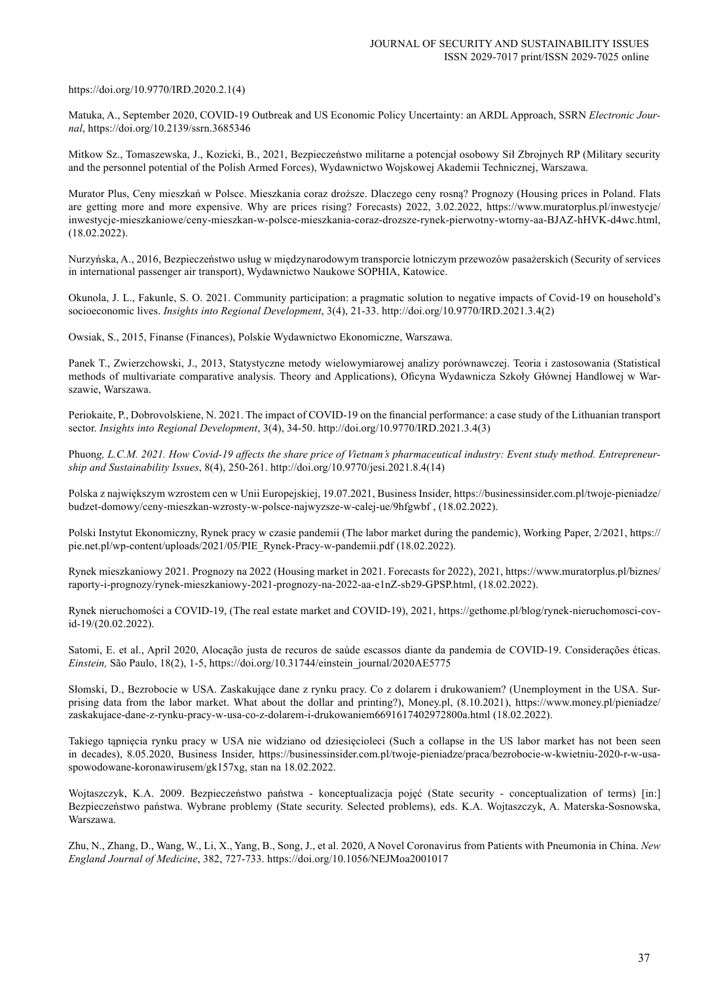#### https://doi.org/10.9770/IRD.2020.2.1(4)

Matuka, A., September 2020, COVID-19 Outbreak and US Economic Policy Uncertainty: an ARDL Approach, SSRN *Electronic Journal*, https://doi.org/10.2139/ssrn.3685346

Mitkow Sz., Tomaszewska, J., Kozicki, B., 2021, Bezpieczeństwo militarne a potencjał osobowy Sił Zbrojnych RP (Military security and the personnel potential of the Polish Armed Forces), Wydawnictwo Wojskowej Akademii Technicznej, Warszawa.

Murator Plus, Ceny mieszkań w Polsce. Mieszkania coraz droższe. Dlaczego ceny rosną? Prognozy (Housing prices in Poland. Flats are getting more and more expensive. Why are prices rising? Forecasts) 2022, 3.02.2022, https://www.muratorplus.pl/inwestycje/ inwestycje-mieszkaniowe/ceny-mieszkan-w-polsce-mieszkania-coraz-drozsze-rynek-pierwotny-wtorny-aa-BJAZ-hHVK-d4wc.html, (18.02.2022).

Nurzyńska, A., 2016, Bezpieczeństwo usług w międzynarodowym transporcie lotniczym przewozów pasażerskich (Security of services in international passenger air transport), Wydawnictwo Naukowe SOPHIA, Katowice.

Okunola, J. L., Fakunle, S. O. 2021. Community participation: a pragmatic solution to negative impacts of Covid-19 on household's socioeconomic lives. *Insights into Regional Development*, 3(4), 21-33. http://doi.org/10.9770/IRD.2021.3.4(2)

Owsiak, S., 2015, Finanse (Finances), Polskie Wydawnictwo Ekonomiczne, Warszawa.

Panek T., Zwierzchowski, J., 2013, Statystyczne metody wielowymiarowej analizy porównawczej. Teoria i zastosowania (Statistical methods of multivariate comparative analysis. Theory and Applications), Oficyna Wydawnicza Szkoły Głównej Handlowej w Warszawie, Warszawa.

Periokaite, P., Dobrovolskiene, N. 2021. The impact of COVID-19 on the financial performance: a case study of the Lithuanian transport sector. *Insights into Regional Development*, 3(4), 34-50. http://doi.org/10.9770/IRD.2021.3.4(3)

Phuon*g, L.C.M. 2021. How Covid-19 affects the share price of Vietnam's pharmaceutical industry: Event study method. Entrepreneurship and Sustainability Issues*, 8(4), 250-261. http://doi.org/10.9770/jesi.2021.8.4(14)

Polska z największym wzrostem cen w Unii Europejskiej, 19.07.2021, Business Insider, https://businessinsider.com.pl/twoje-pieniadze/ budzet-domowy/ceny-mieszkan-wzrosty-w-polsce-najwyzsze-w-calej-ue/9hfgwbf , (18.02.2022).

Polski Instytut Ekonomiczny, Rynek pracy w czasie pandemii (The labor market during the pandemic), Working Paper, 2/2021, https:// pie.net.pl/wp-content/uploads/2021/05/PIE\_Rynek-Pracy-w-pandemii.pdf (18.02.2022).

Rynek mieszkaniowy 2021. Prognozy na 2022 (Housing market in 2021. Forecasts for 2022), 2021, https://www.muratorplus.pl/biznes/ raporty-i-prognozy/rynek-mieszkaniowy-2021-prognozy-na-2022-aa-e1nZ-sb29-GPSP.html, (18.02.2022).

Rynek nieruchomości a COVID-19, (The real estate market and COVID-19), 2021, https://gethome.pl/blog/rynek-nieruchomosci-covid-19/(20.02.2022).

Satomi, E. et al., April 2020, Alocação justa de recuros de saúde escassos diante da pandemia de COVID-19. Considerações éticas. *Einstein,* São Paulo, 18(2), 1-5, https://doi.org/10.31744/einstein\_journal/2020AE5775

Słomski, D., Bezrobocie w USA. Zaskakujące dane z rynku pracy. Co z dolarem i drukowaniem? (Unemployment in the USA. Surprising data from the labor market. What about the dollar and printing?), Money.pl, (8.10.2021), https://www.money.pl/pieniadze/ zaskakujace-dane-z-rynku-pracy-w-usa-co-z-dolarem-i-drukowaniem6691617402972800a.html (18.02.2022).

Takiego tąpnięcia rynku pracy w USA nie widziano od dziesięcioleci (Such a collapse in the US labor market has not been seen in decades), 8.05.2020, Business Insider, https://businessinsider.com.pl/twoje-pieniadze/praca/bezrobocie-w-kwietniu-2020-r-w-usaspowodowane-koronawirusem/gk157xg, stan na 18.02.2022.

Wojtaszczyk, K.A. 2009. Bezpieczeństwo państwa - konceptualizacja pojęć (State security - conceptualization of terms) [in:] Bezpieczeństwo państwa. Wybrane problemy (State security. Selected problems), eds. K.A. Wojtaszczyk, A. Materska-Sosnowska, Warszawa.

Zhu, N., Zhang, D., Wang, W., Li, X., Yang, B., Song, J., et al. 2020, A Novel Coronavirus from Patients with Pneumonia in China. *New England Journal of Medicine*, 382, 727-733. https://doi.org/10.1056/NEJMoa2001017